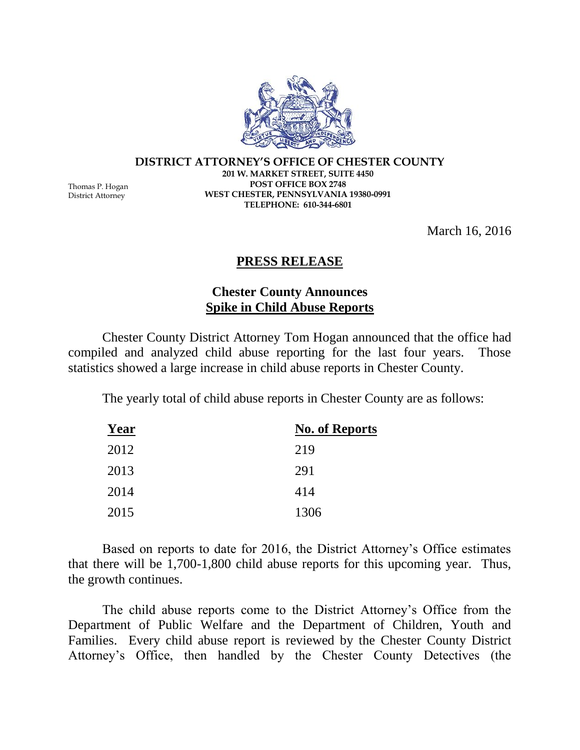**DISTRICT ATTORNEY'S OFFICE OF CHESTER COUNTY 201 W. MARKET STREET, SUITE 4450 POST OFFICE BOX 2748 WEST CHESTER, PENNSYLVANIA 19380-0991 TELEPHONE: 610-344-6801**

March 16, 2016

## **PRESS RELEASE**

## **Chester County Announces Spike in Child Abuse Reports**

Chester County District Attorney Tom Hogan announced that the office had compiled and analyzed child abuse reporting for the last four years. Those statistics showed a large increase in child abuse reports in Chester County.

The yearly total of child abuse reports in Chester County are as follows:

| Year | <b>No. of Reports</b> |
|------|-----------------------|
| 2012 | 219                   |
| 2013 | 291                   |
| 2014 | 414                   |
| 2015 | 1306                  |

Based on reports to date for 2016, the District Attorney's Office estimates that there will be 1,700-1,800 child abuse reports for this upcoming year. Thus, the growth continues.

The child abuse reports come to the District Attorney's Office from the Department of Public Welfare and the Department of Children, Youth and Families. Every child abuse report is reviewed by the Chester County District Attorney's Office, then handled by the Chester County Detectives (the



Thomas P. Hogan District Attorney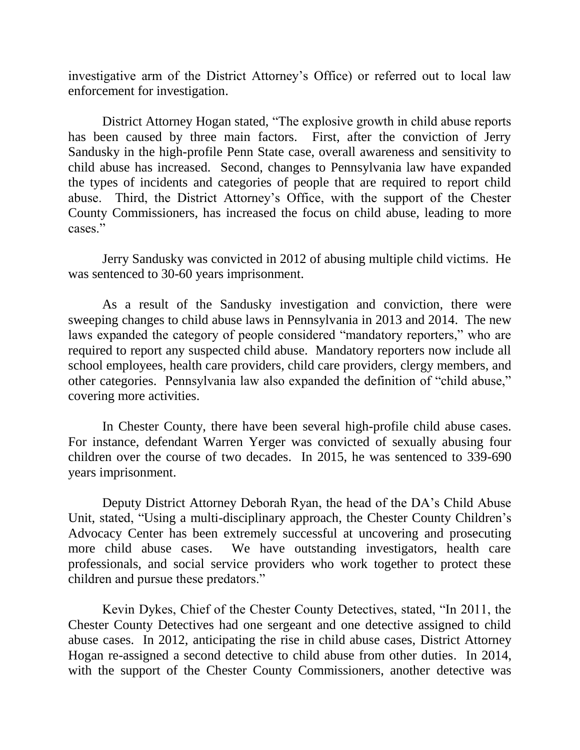investigative arm of the District Attorney's Office) or referred out to local law enforcement for investigation.

District Attorney Hogan stated, "The explosive growth in child abuse reports has been caused by three main factors. First, after the conviction of Jerry Sandusky in the high-profile Penn State case, overall awareness and sensitivity to child abuse has increased. Second, changes to Pennsylvania law have expanded the types of incidents and categories of people that are required to report child abuse. Third, the District Attorney's Office, with the support of the Chester County Commissioners, has increased the focus on child abuse, leading to more cases."

Jerry Sandusky was convicted in 2012 of abusing multiple child victims. He was sentenced to 30-60 years imprisonment.

As a result of the Sandusky investigation and conviction, there were sweeping changes to child abuse laws in Pennsylvania in 2013 and 2014. The new laws expanded the category of people considered "mandatory reporters," who are required to report any suspected child abuse. Mandatory reporters now include all school employees, health care providers, child care providers, clergy members, and other categories. Pennsylvania law also expanded the definition of "child abuse," covering more activities.

In Chester County, there have been several high-profile child abuse cases. For instance, defendant Warren Yerger was convicted of sexually abusing four children over the course of two decades. In 2015, he was sentenced to 339-690 years imprisonment.

Deputy District Attorney Deborah Ryan, the head of the DA's Child Abuse Unit, stated, "Using a multi-disciplinary approach, the Chester County Children's Advocacy Center has been extremely successful at uncovering and prosecuting more child abuse cases. We have outstanding investigators, health care professionals, and social service providers who work together to protect these children and pursue these predators."

Kevin Dykes, Chief of the Chester County Detectives, stated, "In 2011, the Chester County Detectives had one sergeant and one detective assigned to child abuse cases. In 2012, anticipating the rise in child abuse cases, District Attorney Hogan re-assigned a second detective to child abuse from other duties. In 2014, with the support of the Chester County Commissioners, another detective was